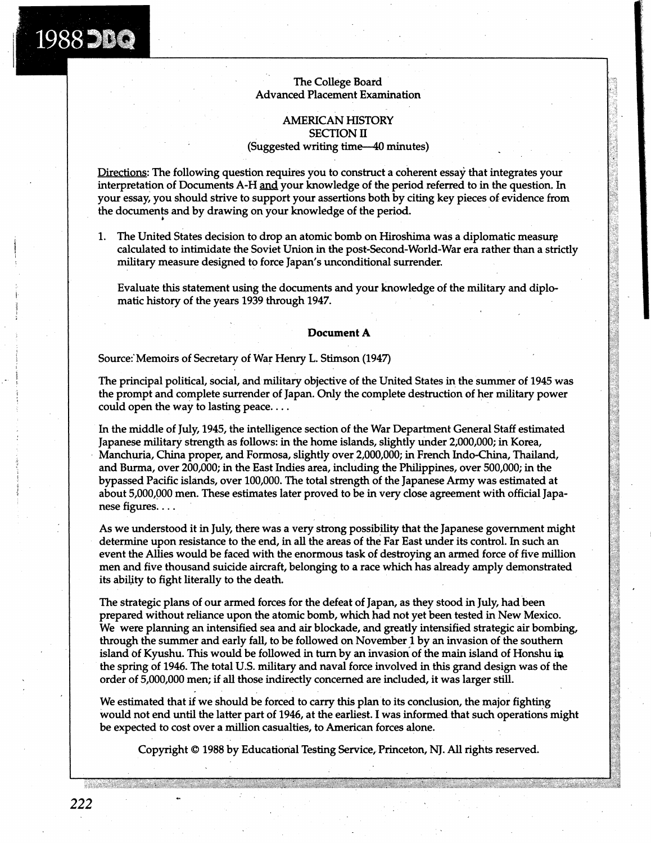### The College Board Advanced Placement Examination

## AMERICAN HISTORY SECTION **I1**  (Suggested writing time--40 minutes)

Directions: The following question requires you to construct a coherent essay that integrates your interpretation of Documents A-H **and** your knowledge of the period referred to in the question. In your essay, you should strive to support your assertions both by citing key pieces of evidence from the documents and by drawing on your knowledge of the period.

1. The United States decision to drop an atomic bomb on Hiroshima was a diplomatic measurg calculated to intimidate the Soviet Union in the post-Second-World-War era rather than a strictly military measure designed to force Japan's unconditional surrender.

Evaluate this statement using the documents and your knowledge of the military and diplomatic history of the years 1939 through 1947.

#### **Document A**

Source:'Memoirs of Secretary of War Henry L. Stimson (1947)

1988 DBQ

The principal political, social, and military objective of the United States in the summer of 1945 was the prompt and complete surrender of Japan. Only the complete destruction of her military power could open the way to lasting peace. . . .

In the middle of July, 1945, the intelligence section of the War Department General Staff estimated Japanese military strength as follows: in the home islands, slightly under 2,000,000; in Korea, Manchuria, China proper, and Formosa, slightly over 2,000,000; in French Indo-China, Thailand, and Burma, over 200,000; in the East Indies area, including the Philippines, over 500,000; in the bypassed Pacific islands, over 100,000. The total strength of the Japanese Army was estimated at about 5,000,000 men. These estimates later proved to be in very close agreement with official Japanese figures. . . .

As we understood it in July, there was a very strong possibility that the Japanese government might determine upon resistance to the end, in all the areas of the Far East under its control. In such an event the Allies would be faced with the enormous task of destroying an armed force of five million men and five thousand suicide aircraft, belonging to a race which has already amply demonstrated its ability to fight literally to the death.

The strategic plans of our armed forces for the defeat of Japan, as they stood in July, had been prepared without reliance upon the atomic bomb, which had not yet been tested in New Mexico. We were planning an intensified sea and air blockade, and greatly intensified strategic air bombing, through the summer and early fall, to be followed on November 1 by an invasion of the southern island of Kyushu. This would be followed in turn by an invasion of the main island of Honshu ip the spring of 1946. The total U.S. military and naval force involved in this grand design was of the order of 5,000,000 men; if all those indirectly concerned are included, it was larger still.

We estimated that if we should be forced to carry this plan to its conclusion, the major fighting would not end until the latter part of 1946, at the earliest. I was informed that such operations might be expected to cost over a million casualties, to American forces alone.

Copyright O 1988 by Educational Testing Service, Princeton, NJ. All rights reserved.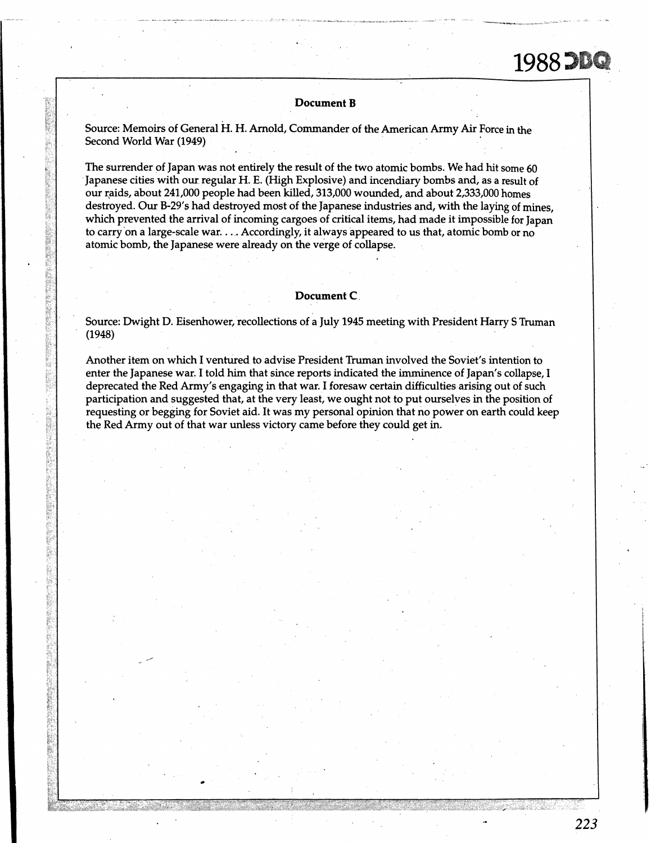# 1988 DBQ

#### **Document B**

Source: Memoirs of General H. H. Arnold, Commander of the American Army Air Force in the Second World War (1949)

The surrender of Japan was not entirely the result of the two atomic bombs. We had hit some 60 Japanese cities with our regular H. E. (High Explosive) and incendiary bombs and, as a result of our raids, about 241,000 people had been killed, 313,000 wounded, and about 2,333,000 homes destroyed. Our B-29's had destroyed most of the Japanese industries and, with the laying of mines, which prevented the arrival of incoming cargoes of critical items, had made it impossible for Japan to carry on a large-scale war. . . . Accordingly, it always appeared to us that, atomic bomb or no atomic bomb, the Japanese were already on the verge of collapse.

#### **Document C**

Source: Dwight D. Eisenhower, recollections of a July 1945 meeting with President Harry S Truman (1948)

Another item on which I ventured to advise President Truman involved the Soviet's intention to enter the Japanese war. I told him that since reports indicated the imminence of Japan's collapse, I deprecated the Red Army's engaging in that war. I foresaw certain difficulties arising out of such participation and suggested that, at the very least, we ought not to put ourselves in the position of requesting or begging for Soviet aid. It was my personal opinion that no power on earth could keep the Red Army out of that war unless victory came before they could get in.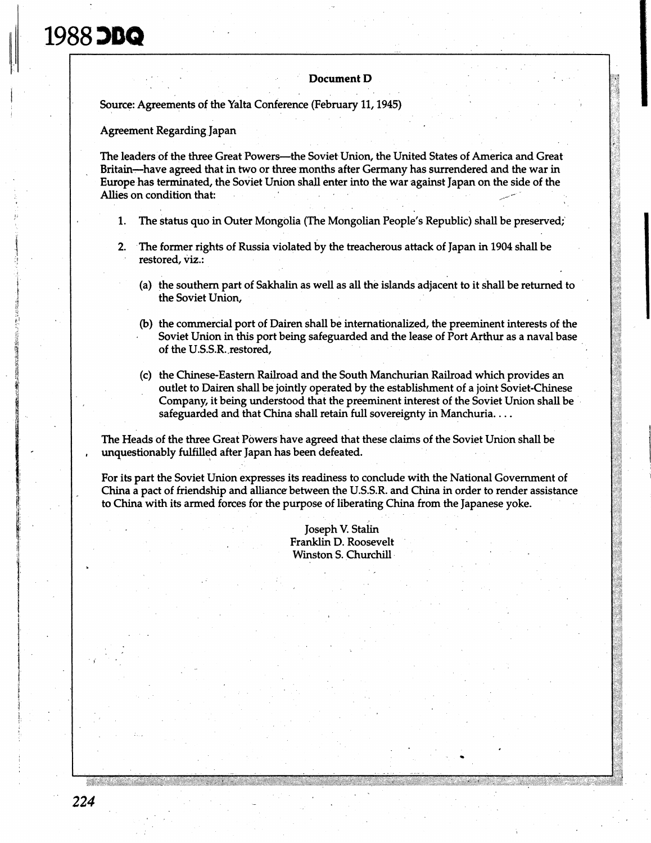# 1988 DDQ

#### **Document D**

Source: Agreements of the Yalta Conference (February 11,1945)

Agreement Regarding Japan

The leaders of the three Great Powers--the Soviet Union, the United States of America and Great Britain-have agreed that in two or three months after Germany has surrendered and the war in Europe has terminated, the Soviet Union shall enter into the war against Japan on the side of the Allies on condition that:

- **1.** The status quo in Outer Mongolia (The Mongolian People's Republic) shall be preserved;
- **2.** The former rights of Russia violated by the treacherous attack of Japan in 1904 shall be restored, viz.:
	- (a) the southern part of Sakhalin as well as all the islands adjacent to it shall be returned to the Soviet Union,
	- @) the commercial port of Dairen shall be internationalized, the preeminent interests of the Soviet Union in this port being safeguarded and the lease of Port Arthur as a naval base of the U.S.S.R..restored,
	- (c) the Chinese-Eastern Railroad and the South Manchurian Railroad which provides an outlet to Dairen shall be jointly operated by the establishment of a joint Soviet-Chinese Company, it being understood that the preeminent interest of the Soviet Union shall be safeguarded and that China shall retain full sovereignty in Manchuria. . . .

The Heads of the three Great Powers have agreed that these claims of the Soviet Union shall be , unquestionably fulfilled after Japan has been defeated.

For its part the Soviet Union expresses its readiness to conclude with the National Government of China a pact of friendship and alliance between the U.S.S.R. and China in order to render assistance to China with its armed forces for the purpose of liberating China from the Japanese yoke.

> Joseph V. Stalin Franklin D. Roosevelt Winston S. Churchill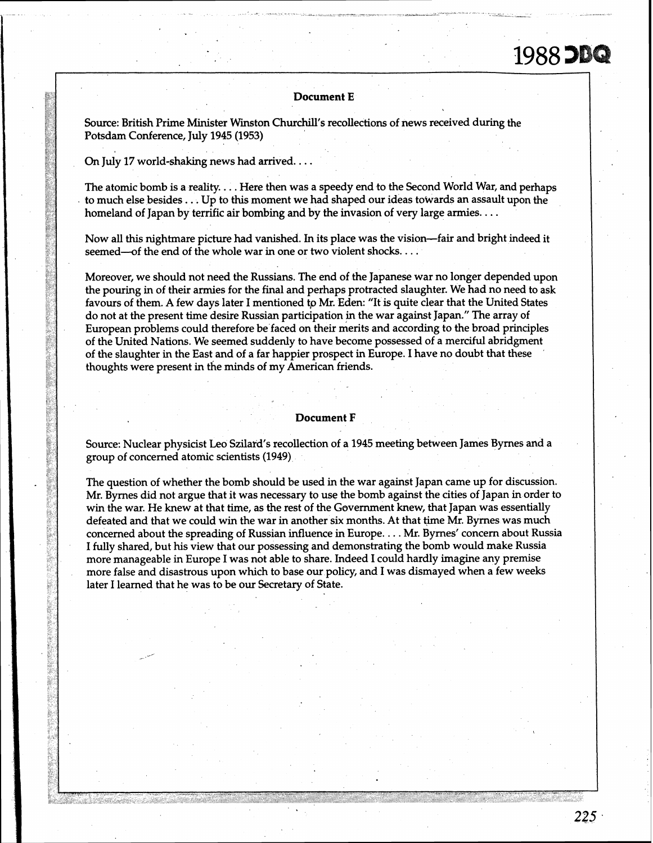#### **Document E**

Source: British Prime Minister Winston Churchill's recollections of news received during the Potsdam Conference, July **1945 (1953)** 

On July **17** world-shaking news had arrived. . . .

The atomic bomb is a reality. . . . Here then was a speedy end to the Second World War, and perhaps to much else besides. . . Up to this moment we had shaped our ideas towards an assault upon the homeland of Japan by terrific air bombing **and** by the invasion of very large armies. . . .

Now all this nightmare picture had vanished. In its place was the vision-fair and bright indeed it seemed-of the end of the whole war in one or two violent shocks. . . .

Moreover, we should not need the Russians. The end of the Japanese war no longer depended upon the pouring in of their armies for the final and perhaps protracted slaughter. We had no need to ask favours of them. **A** few days later I mentioned to **Mr.** Eden: "It is quite clear that the United States do not at the present time desire Russian participation in the war against Japan." The array of European problems could therefore be faced on their merits and according to the broad principles of the United Nations. We seemed suddenly to have become possessed of a merciful abridgment of the slaughter in the East and of a far happier prospect in Europe. I have no doubt that these thoughts were present in the minds of my American friends.

#### **Document F**

Source: Nuclear physicist Leo Szilard's recollection of a **1945** meeting between James Byrnes and a group of concerned atomic scientists **(1949)** 

The question of whether the bomb should be used in the war against Japan came up for discussion. Mr. Byrnes did not argue that it was necessary to use the bomb against the cities of Japan in order to win the war. He knew at that time, as the rest of the Government knew, that Japan was essentially defeated and that we could win the war in another six months. At that time **Mr.** Byrnes was much concerned about the spreading of Russian influence in Europe. . . . Mr. Byrnes' concern about Russia I fully shared, but his view that our possessing and demonstrating the bomb would make Russia more manageable in Europe I was not able to share. Indeed I could hardly imagine any premise more false and disastrous upon which to base our policy, and I was dismayed when a few weeks later I learned that he was to be our Secretary of State.